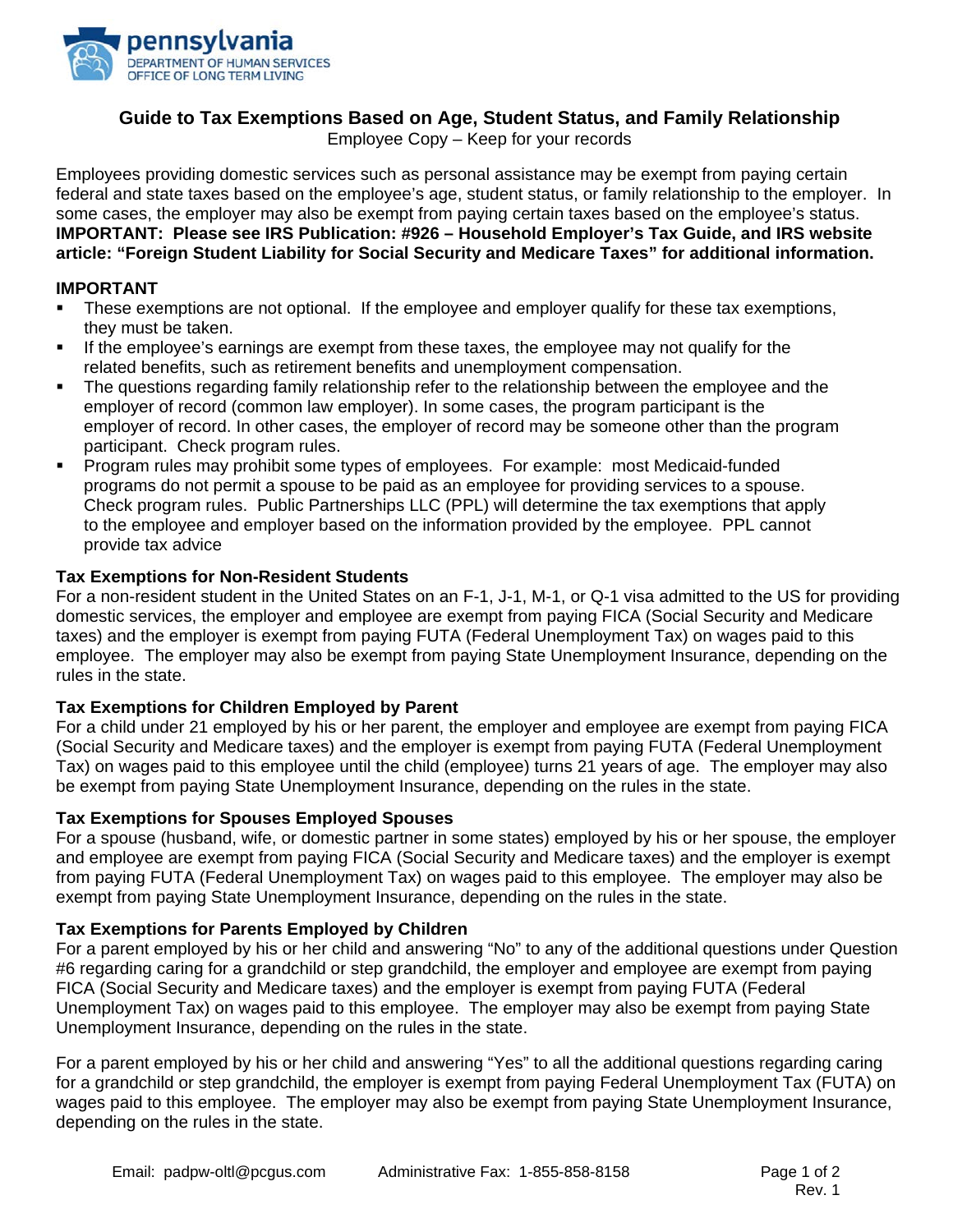

# **Guide to Tax Exemptions Based on Age, Student Status, and Family Relationship**

Employee Copy – Keep for your records

Employees providing domestic services such as personal assistance may be exempt from paying certain federal and state taxes based on the employee's age, student status, or family relationship to the employer. In some cases, the employer may also be exempt from paying certain taxes based on the employee's status. **IMPORTANT: Please see IRS Publication: #926 – Household Employer's Tax Guide, and IRS website article: "Foreign Student Liability for Social Security and Medicare Taxes" for additional information.**

### **IMPORTANT**

- These exemptions are not optional. If the employee and employer qualify for these tax exemptions, they must be taken.
- If the employee's earnings are exempt from these taxes, the employee may not qualify for the related benefits, such as retirement benefits and unemployment compensation.
- The questions regarding family relationship refer to the relationship between the employee and the employer of record (common law employer). In some cases, the program participant is the employer of record. In other cases, the employer of record may be someone other than the program participant. Check program rules.
- Program rules may prohibit some types of employees. For example: most Medicaid-funded programs do not permit a spouse to be paid as an employee for providing services to a spouse. Check program rules. Public Partnerships LLC (PPL) will determine the tax exemptions that apply to the employee and employer based on the information provided by the employee. PPL cannot provide tax advice

### **Tax Exemptions for Non-Resident Students**

For a non-resident student in the United States on an F-1, J-1, M-1, or Q-1 visa admitted to the US for providing domestic services, the employer and employee are exempt from paying FICA (Social Security and Medicare taxes) and the employer is exempt from paying FUTA (Federal Unemployment Tax) on wages paid to this employee. The employer may also be exempt from paying State Unemployment Insurance, depending on the rules in the state.

### **Tax Exemptions for Children Employed by Parent**

For a child under 21 employed by his or her parent, the employer and employee are exempt from paying FICA (Social Security and Medicare taxes) and the employer is exempt from paying FUTA (Federal Unemployment Tax) on wages paid to this employee until the child (employee) turns 21 years of age. The employer may also be exempt from paying State Unemployment Insurance, depending on the rules in the state.

#### **Tax Exemptions for Spouses Employed Spouses**

For a spouse (husband, wife, or domestic partner in some states) employed by his or her spouse, the employer and employee are exempt from paying FICA (Social Security and Medicare taxes) and the employer is exempt from paying FUTA (Federal Unemployment Tax) on wages paid to this employee. The employer may also be exempt from paying State Unemployment Insurance, depending on the rules in the state.

#### **Tax Exemptions for Parents Employed by Children**

For a parent employed by his or her child and answering "No" to any of the additional questions under Question #6 regarding caring for a grandchild or step grandchild, the employer and employee are exempt from paying FICA (Social Security and Medicare taxes) and the employer is exempt from paying FUTA (Federal Unemployment Tax) on wages paid to this employee. The employer may also be exempt from paying State Unemployment Insurance, depending on the rules in the state.

For a parent employed by his or her child and answering "Yes" to all the additional questions regarding caring for a grandchild or step grandchild, the employer is exempt from paying Federal Unemployment Tax (FUTA) on wages paid to this employee. The employer may also be exempt from paying State Unemployment Insurance, depending on the rules in the state.